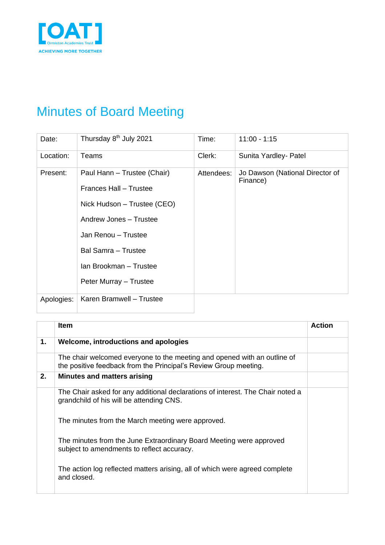

## Minutes of Board Meeting

| Date:      | Thursday 8 <sup>th</sup> July 2021                                                                                                                                                                               | Time:      | $11:00 - 1:15$                              |
|------------|------------------------------------------------------------------------------------------------------------------------------------------------------------------------------------------------------------------|------------|---------------------------------------------|
| Location:  | Teams                                                                                                                                                                                                            | Clerk:     | Sunita Yardley- Patel                       |
| Present:   | Paul Hann - Trustee (Chair)<br>Frances Hall - Trustee<br>Nick Hudson - Trustee (CEO)<br>Andrew Jones - Trustee<br>Jan Renou - Trustee<br>Bal Samra - Trustee<br>Ian Brookman - Trustee<br>Peter Murray - Trustee | Attendees: | Jo Dawson (National Director of<br>Finance) |
| Apologies: | Karen Bramwell - Trustee                                                                                                                                                                                         |            |                                             |

|    | <b>Item</b>                                                                                                                                  | <b>Action</b> |
|----|----------------------------------------------------------------------------------------------------------------------------------------------|---------------|
| 1. | Welcome, introductions and apologies                                                                                                         |               |
|    | The chair welcomed everyone to the meeting and opened with an outline of<br>the positive feedback from the Principal's Review Group meeting. |               |
| 2. | <b>Minutes and matters arising</b>                                                                                                           |               |
|    | The Chair asked for any additional declarations of interest. The Chair noted a<br>grandchild of his will be attending CNS.                   |               |
|    | The minutes from the March meeting were approved.                                                                                            |               |
|    | The minutes from the June Extraordinary Board Meeting were approved<br>subject to amendments to reflect accuracy.                            |               |
|    | The action log reflected matters arising, all of which were agreed complete<br>and closed.                                                   |               |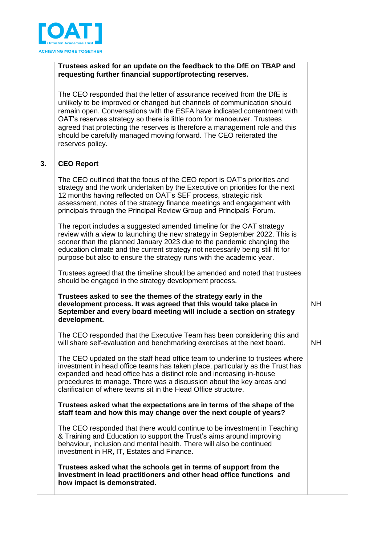

|    | Trustees asked for an update on the feedback to the DfE on TBAP and<br>requesting further financial support/protecting reserves.                                                                                                                                                                                                                                                                                                                                                   |           |
|----|------------------------------------------------------------------------------------------------------------------------------------------------------------------------------------------------------------------------------------------------------------------------------------------------------------------------------------------------------------------------------------------------------------------------------------------------------------------------------------|-----------|
|    | The CEO responded that the letter of assurance received from the DfE is<br>unlikely to be improved or changed but channels of communication should<br>remain open. Conversations with the ESFA have indicated contentment with<br>OAT's reserves strategy so there is little room for manoeuver. Trustees<br>agreed that protecting the reserves is therefore a management role and this<br>should be carefully managed moving forward. The CEO reiterated the<br>reserves policy. |           |
| 3. | <b>CEO Report</b>                                                                                                                                                                                                                                                                                                                                                                                                                                                                  |           |
|    | The CEO outlined that the focus of the CEO report is OAT's priorities and<br>strategy and the work undertaken by the Executive on priorities for the next<br>12 months having reflected on OAT's SEF process, strategic risk<br>assessment, notes of the strategy finance meetings and engagement with<br>principals through the Principal Review Group and Principals' Forum.                                                                                                     |           |
|    | The report includes a suggested amended timeline for the OAT strategy<br>review with a view to launching the new strategy in September 2022. This is<br>sooner than the planned January 2023 due to the pandemic changing the<br>education climate and the current strategy not necessarily being still fit for<br>purpose but also to ensure the strategy runs with the academic year.                                                                                            |           |
|    | Trustees agreed that the timeline should be amended and noted that trustees<br>should be engaged in the strategy development process.                                                                                                                                                                                                                                                                                                                                              |           |
|    | Trustees asked to see the themes of the strategy early in the<br>development process. It was agreed that this would take place in<br>September and every board meeting will include a section on strategy<br>development.                                                                                                                                                                                                                                                          | <b>NH</b> |
|    | The CEO responded that the Executive Team has been considering this and<br>will share self-evaluation and benchmarking exercises at the next board.                                                                                                                                                                                                                                                                                                                                | <b>NH</b> |
|    | The CEO updated on the staff head office team to underline to trustees where<br>investment in head office teams has taken place, particularly as the Trust has<br>expanded and head office has a distinct role and increasing in-house<br>procedures to manage. There was a discussion about the key areas and<br>clarification of where teams sit in the Head Office structure.                                                                                                   |           |
|    | Trustees asked what the expectations are in terms of the shape of the<br>staff team and how this may change over the next couple of years?                                                                                                                                                                                                                                                                                                                                         |           |
|    | The CEO responded that there would continue to be investment in Teaching<br>& Training and Education to support the Trust's aims around improving<br>behaviour, inclusion and mental health. There will also be continued<br>investment in HR, IT, Estates and Finance.                                                                                                                                                                                                            |           |
|    | Trustees asked what the schools get in terms of support from the<br>investment in lead practitioners and other head office functions and<br>how impact is demonstrated.                                                                                                                                                                                                                                                                                                            |           |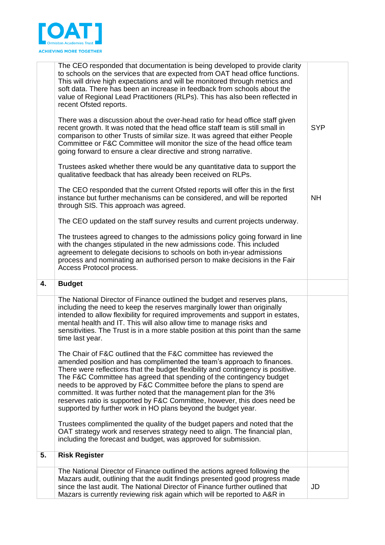

|    | The CEO responded that documentation is being developed to provide clarity<br>to schools on the services that are expected from OAT head office functions.<br>This will drive high expectations and will be monitored through metrics and<br>soft data. There has been an increase in feedback from schools about the<br>value of Regional Lead Practitioners (RLPs). This has also been reflected in<br>recent Ofsted reports.                                                                                                                                       |            |
|----|-----------------------------------------------------------------------------------------------------------------------------------------------------------------------------------------------------------------------------------------------------------------------------------------------------------------------------------------------------------------------------------------------------------------------------------------------------------------------------------------------------------------------------------------------------------------------|------------|
|    | There was a discussion about the over-head ratio for head office staff given<br>recent growth. It was noted that the head office staff team is still small in<br>comparison to other Trusts of similar size. It was agreed that either People<br>Committee or F&C Committee will monitor the size of the head office team<br>going forward to ensure a clear directive and strong narrative.                                                                                                                                                                          | <b>SYP</b> |
|    | Trustees asked whether there would be any quantitative data to support the<br>qualitative feedback that has already been received on RLPs.                                                                                                                                                                                                                                                                                                                                                                                                                            |            |
|    | The CEO responded that the current Ofsted reports will offer this in the first<br>instance but further mechanisms can be considered, and will be reported<br>through SIS. This approach was agreed.                                                                                                                                                                                                                                                                                                                                                                   | <b>NH</b>  |
|    | The CEO updated on the staff survey results and current projects underway.                                                                                                                                                                                                                                                                                                                                                                                                                                                                                            |            |
|    | The trustees agreed to changes to the admissions policy going forward in line<br>with the changes stipulated in the new admissions code. This included<br>agreement to delegate decisions to schools on both in-year admissions<br>process and nominating an authorised person to make decisions in the Fair<br>Access Protocol process.                                                                                                                                                                                                                              |            |
| 4. | <b>Budget</b>                                                                                                                                                                                                                                                                                                                                                                                                                                                                                                                                                         |            |
|    | The National Director of Finance outlined the budget and reserves plans,<br>including the need to keep the reserves marginally lower than originally<br>intended to allow flexibility for required improvements and support in estates,<br>mental health and IT. This will also allow time to manage risks and<br>sensitivities. The Trust is in a more stable position at this point than the same<br>time last year.<br>The Chair of F&C outlined that the F&C committee has reviewed the<br>amended position and has complimented the team's approach to finances. |            |
|    | There were reflections that the budget flexibility and contingency is positive.<br>The F&C Committee has agreed that spending of the contingency budget<br>needs to be approved by F&C Committee before the plans to spend are<br>committed. It was further noted that the management plan for the 3%<br>reserves ratio is supported by F&C Committee, however, this does need be<br>supported by further work in HO plans beyond the budget year.                                                                                                                    |            |
|    | Trustees complimented the quality of the budget papers and noted that the<br>OAT strategy work and reserves strategy need to align. The financial plan,<br>including the forecast and budget, was approved for submission.                                                                                                                                                                                                                                                                                                                                            |            |
| 5. | <b>Risk Register</b>                                                                                                                                                                                                                                                                                                                                                                                                                                                                                                                                                  |            |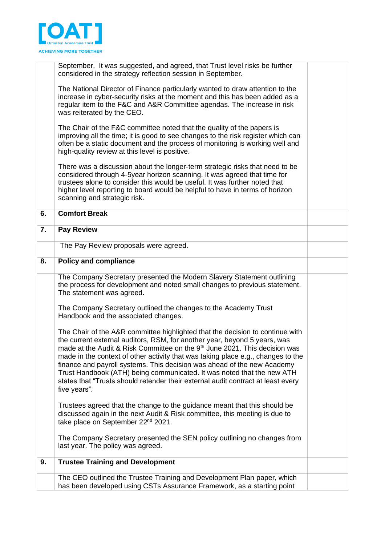

|    | September. It was suggested, and agreed, that Trust level risks be further<br>considered in the strategy reflection session in September.                                                                                                                                                                                                                                                                                                                                                                                                                                                         |  |
|----|---------------------------------------------------------------------------------------------------------------------------------------------------------------------------------------------------------------------------------------------------------------------------------------------------------------------------------------------------------------------------------------------------------------------------------------------------------------------------------------------------------------------------------------------------------------------------------------------------|--|
|    | The National Director of Finance particularly wanted to draw attention to the<br>increase in cyber-security risks at the moment and this has been added as a<br>regular item to the F&C and A&R Committee agendas. The increase in risk<br>was reiterated by the CEO.                                                                                                                                                                                                                                                                                                                             |  |
|    | The Chair of the F&C committee noted that the quality of the papers is<br>improving all the time; it is good to see changes to the risk register which can<br>often be a static document and the process of monitoring is working well and<br>high-quality review at this level is positive.                                                                                                                                                                                                                                                                                                      |  |
|    | There was a discussion about the longer-term strategic risks that need to be<br>considered through 4-5year horizon scanning. It was agreed that time for<br>trustees alone to consider this would be useful. It was further noted that<br>higher level reporting to board would be helpful to have in terms of horizon<br>scanning and strategic risk.                                                                                                                                                                                                                                            |  |
| 6. | <b>Comfort Break</b>                                                                                                                                                                                                                                                                                                                                                                                                                                                                                                                                                                              |  |
| 7. | <b>Pay Review</b>                                                                                                                                                                                                                                                                                                                                                                                                                                                                                                                                                                                 |  |
|    | The Pay Review proposals were agreed.                                                                                                                                                                                                                                                                                                                                                                                                                                                                                                                                                             |  |
| 8. | <b>Policy and compliance</b>                                                                                                                                                                                                                                                                                                                                                                                                                                                                                                                                                                      |  |
|    | The Company Secretary presented the Modern Slavery Statement outlining<br>the process for development and noted small changes to previous statement.<br>The statement was agreed.                                                                                                                                                                                                                                                                                                                                                                                                                 |  |
|    | The Company Secretary outlined the changes to the Academy Trust<br>Handbook and the associated changes.                                                                                                                                                                                                                                                                                                                                                                                                                                                                                           |  |
|    | The Chair of the A&R committee highlighted that the decision to continue with<br>the current external auditors, RSM, for another year, beyond 5 years, was<br>made at the Audit & Risk Committee on the 9 <sup>th</sup> June 2021. This decision was<br>made in the context of other activity that was taking place e.g., changes to the<br>finance and payroll systems. This decision was ahead of the new Academy<br>Trust Handbook (ATH) being communicated. It was noted that the new ATH<br>states that "Trusts should retender their external audit contract at least every<br>five years". |  |
|    | Trustees agreed that the change to the guidance meant that this should be<br>discussed again in the next Audit & Risk committee, this meeting is due to<br>take place on September 22 <sup>nd</sup> 2021.                                                                                                                                                                                                                                                                                                                                                                                         |  |
|    | The Company Secretary presented the SEN policy outlining no changes from<br>last year. The policy was agreed.                                                                                                                                                                                                                                                                                                                                                                                                                                                                                     |  |
| 9. | <b>Trustee Training and Development</b>                                                                                                                                                                                                                                                                                                                                                                                                                                                                                                                                                           |  |
|    | The CEO outlined the Trustee Training and Development Plan paper, which<br>has been developed using CSTs Assurance Framework, as a starting point                                                                                                                                                                                                                                                                                                                                                                                                                                                 |  |